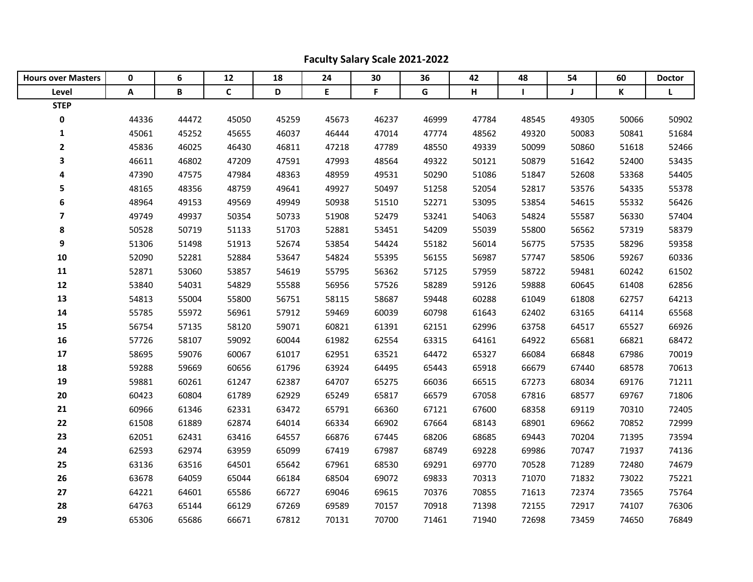| <b>Hours over Masters</b> | 0     | 6     | 12    | 18    | 24    | 30    | 36    | 42    | 48           | 54          | 60    | <b>Doctor</b> |
|---------------------------|-------|-------|-------|-------|-------|-------|-------|-------|--------------|-------------|-------|---------------|
| Level                     | A     | B     | C     | D     | E     | F     | G     | Н     | $\mathbf{I}$ | $\mathbf J$ | K     | L             |
| <b>STEP</b>               |       |       |       |       |       |       |       |       |              |             |       |               |
| 0                         | 44336 | 44472 | 45050 | 45259 | 45673 | 46237 | 46999 | 47784 | 48545        | 49305       | 50066 | 50902         |
| $\mathbf 1$               | 45061 | 45252 | 45655 | 46037 | 46444 | 47014 | 47774 | 48562 | 49320        | 50083       | 50841 | 51684         |
| $\mathbf{2}$              | 45836 | 46025 | 46430 | 46811 | 47218 | 47789 | 48550 | 49339 | 50099        | 50860       | 51618 | 52466         |
| 3                         | 46611 | 46802 | 47209 | 47591 | 47993 | 48564 | 49322 | 50121 | 50879        | 51642       | 52400 | 53435         |
| 4                         | 47390 | 47575 | 47984 | 48363 | 48959 | 49531 | 50290 | 51086 | 51847        | 52608       | 53368 | 54405         |
| 5                         | 48165 | 48356 | 48759 | 49641 | 49927 | 50497 | 51258 | 52054 | 52817        | 53576       | 54335 | 55378         |
| 6                         | 48964 | 49153 | 49569 | 49949 | 50938 | 51510 | 52271 | 53095 | 53854        | 54615       | 55332 | 56426         |
| $\overline{\mathbf{z}}$   | 49749 | 49937 | 50354 | 50733 | 51908 | 52479 | 53241 | 54063 | 54824        | 55587       | 56330 | 57404         |
| 8                         | 50528 | 50719 | 51133 | 51703 | 52881 | 53451 | 54209 | 55039 | 55800        | 56562       | 57319 | 58379         |
| 9                         | 51306 | 51498 | 51913 | 52674 | 53854 | 54424 | 55182 | 56014 | 56775        | 57535       | 58296 | 59358         |
| 10                        | 52090 | 52281 | 52884 | 53647 | 54824 | 55395 | 56155 | 56987 | 57747        | 58506       | 59267 | 60336         |
| 11                        | 52871 | 53060 | 53857 | 54619 | 55795 | 56362 | 57125 | 57959 | 58722        | 59481       | 60242 | 61502         |
| 12                        | 53840 | 54031 | 54829 | 55588 | 56956 | 57526 | 58289 | 59126 | 59888        | 60645       | 61408 | 62856         |
| 13                        | 54813 | 55004 | 55800 | 56751 | 58115 | 58687 | 59448 | 60288 | 61049        | 61808       | 62757 | 64213         |
| 14                        | 55785 | 55972 | 56961 | 57912 | 59469 | 60039 | 60798 | 61643 | 62402        | 63165       | 64114 | 65568         |
| 15                        | 56754 | 57135 | 58120 | 59071 | 60821 | 61391 | 62151 | 62996 | 63758        | 64517       | 65527 | 66926         |
| 16                        | 57726 | 58107 | 59092 | 60044 | 61982 | 62554 | 63315 | 64161 | 64922        | 65681       | 66821 | 68472         |
| 17                        | 58695 | 59076 | 60067 | 61017 | 62951 | 63521 | 64472 | 65327 | 66084        | 66848       | 67986 | 70019         |
| 18                        | 59288 | 59669 | 60656 | 61796 | 63924 | 64495 | 65443 | 65918 | 66679        | 67440       | 68578 | 70613         |
| 19                        | 59881 | 60261 | 61247 | 62387 | 64707 | 65275 | 66036 | 66515 | 67273        | 68034       | 69176 | 71211         |
| 20                        | 60423 | 60804 | 61789 | 62929 | 65249 | 65817 | 66579 | 67058 | 67816        | 68577       | 69767 | 71806         |
| 21                        | 60966 | 61346 | 62331 | 63472 | 65791 | 66360 | 67121 | 67600 | 68358        | 69119       | 70310 | 72405         |
| 22                        | 61508 | 61889 | 62874 | 64014 | 66334 | 66902 | 67664 | 68143 | 68901        | 69662       | 70852 | 72999         |
| 23                        | 62051 | 62431 | 63416 | 64557 | 66876 | 67445 | 68206 | 68685 | 69443        | 70204       | 71395 | 73594         |
| 24                        | 62593 | 62974 | 63959 | 65099 | 67419 | 67987 | 68749 | 69228 | 69986        | 70747       | 71937 | 74136         |
| 25                        | 63136 | 63516 | 64501 | 65642 | 67961 | 68530 | 69291 | 69770 | 70528        | 71289       | 72480 | 74679         |
| 26                        | 63678 | 64059 | 65044 | 66184 | 68504 | 69072 | 69833 | 70313 | 71070        | 71832       | 73022 | 75221         |
| 27                        | 64221 | 64601 | 65586 | 66727 | 69046 | 69615 | 70376 | 70855 | 71613        | 72374       | 73565 | 75764         |
| 28                        | 64763 | 65144 | 66129 | 67269 | 69589 | 70157 | 70918 | 71398 | 72155        | 72917       | 74107 | 76306         |
| 29                        | 65306 | 65686 | 66671 | 67812 | 70131 | 70700 | 71461 | 71940 | 72698        | 73459       | 74650 | 76849         |

## **Faculty Salary Scale 2021-2022**